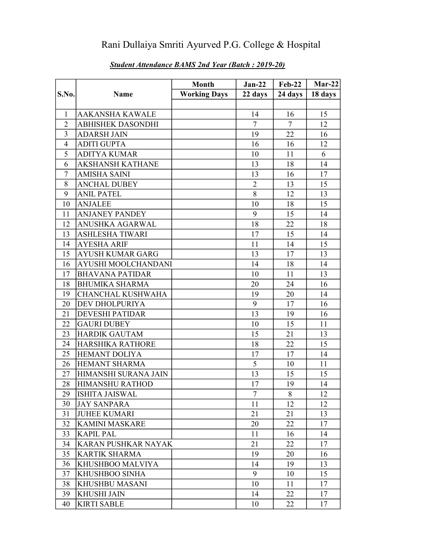## Rani Dullaiya Smriti Ayurved P.G. College & Hospital

|                |                            | <b>Month</b>        | $Jan-22$       | <b>Feb-22</b> | $Mar-22$ |
|----------------|----------------------------|---------------------|----------------|---------------|----------|
| S.No.          | Name                       | <b>Working Days</b> | 22 days        | 24 days       | 18 days  |
|                |                            |                     |                |               |          |
| 1              | <b>AAKANSHA KAWALE</b>     |                     | 14             | 16            | 15       |
| $\overline{2}$ | <b>ABHISHEK DASONDHI</b>   |                     | $\overline{7}$ | $\tau$        | 12       |
| 3              | <b>ADARSH JAIN</b>         |                     | 19             | 22            | 16       |
| $\overline{4}$ | <b>ADITI GUPTA</b>         |                     | 16             | 16            | 12       |
| 5              | <b>ADITYA KUMAR</b>        |                     | 10             | 11            | 6        |
| 6              | <b>AKSHANSH KATHANE</b>    |                     | 13             | 18            | 14       |
| $\tau$         | <b>AMISHA SAINI</b>        |                     | 13             | 16            | 17       |
| 8              | <b>ANCHAL DUBEY</b>        |                     | $\overline{2}$ | 13            | 15       |
| 9              | <b>ANIL PATEL</b>          |                     | 8              | 12            | 13       |
| 10             | <b>ANJALEE</b>             |                     | 10             | 18            | 15       |
| 11             | <b>ANJANEY PANDEY</b>      |                     | 9              | 15            | 14       |
| 12             | <b>ANUSHKA AGARWAL</b>     |                     | 18             | 22            | 18       |
| 13             | <b>ASHLESHA TIWARI</b>     |                     | 17             | 15            | 14       |
| 14             | <b>AYESHA ARIF</b>         |                     | 11             | 14            | 15       |
| 15             | <b>AYUSH KUMAR GARG</b>    |                     | 13             | 17            | 13       |
| 16             | <b>AYUSHI MOOLCHANDANI</b> |                     | 14             | 18            | 14       |
| 17             | <b>BHAVANA PATIDAR</b>     |                     | 10             | 11            | 13       |
| 18             | <b>BHUMIKA SHARMA</b>      |                     | 20             | 24            | 16       |
| 19             | <b>CHANCHAL KUSHWAHA</b>   |                     | 19             | 20            | 14       |
| 20             | <b>DEV DHOLPURIYA</b>      |                     | 9              | 17            | 16       |
| 21             | <b>DEVESHI PATIDAR</b>     |                     | 13             | 19            | 16       |
| 22             | <b>GAURI DUBEY</b>         |                     | 10             | 15            | 11       |
| 23             | <b>HARDIK GAUTAM</b>       |                     | 15             | 21            | 13       |
| 24             | HARSHIKA RATHORE           |                     | 18             | 22            | 15       |
| 25             | <b>HEMANT DOLIYA</b>       |                     | 17             | 17            | 14       |
| 26             | <b>HEMANT SHARMA</b>       |                     | 5              | 10            | 11       |
| 27             | HIMANSHI SURANA JAIN       |                     | 13             | 15            | 15       |
| 28             | <b>HIMANSHU RATHOD</b>     |                     | 17             | 19            | 14       |
| 29             | <b>ISHITA JAISWAL</b>      |                     | 7              | 8             | 12       |
| 30             | <b>JAY SANPARA</b>         |                     | 11             | 12            | 12       |
| 31             | <b>JUHEE KUMARI</b>        |                     | 21             | 21            | 13       |
| 32             | <b>KAMINI MASKARE</b>      |                     | 20             | 22            | 17       |
| 33             | <b>KAPIL PAL</b>           |                     | 11             | 16            | 14       |
| 34             | KARAN PUSHKAR NAYAK        |                     | 21             | 22            | 17       |
| 35             | <b>KARTIK SHARMA</b>       |                     | 19             | 20            | 16       |
| 36             | KHUSHBOO MALVIYA           |                     | 14             | 19            | 13       |
| 37             | <b>KHUSHBOO SINHA</b>      |                     | 9              | 10            | 15       |
| 38             | <b>KHUSHBU MASANI</b>      |                     | 10             | 11            | 17       |
| 39             | <b>KHUSHI JAIN</b>         |                     | 14             | 22            | 17       |
| 40             | <b>KIRTI SABLE</b>         |                     | 10             | 22            | 17       |

## Student Attendance BAMS 2nd Year (Batch : 2019-20)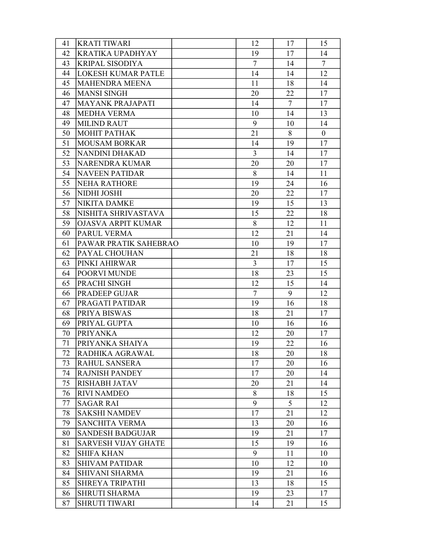| 41 | <b>KRATI TIWARI</b>        | 12             | 17     | 15             |
|----|----------------------------|----------------|--------|----------------|
| 42 | <b>KRATIKA UPADHYAY</b>    | 19             | 17     | 14             |
| 43 | <b>KRIPAL SISODIYA</b>     | $\overline{7}$ | 14     | $\overline{7}$ |
| 44 | <b>LOKESH KUMAR PATLE</b>  | 14             | 14     | 12             |
| 45 | MAHENDRA MEENA             | 11             | 18     | 14             |
| 46 | <b>MANSI SINGH</b>         | 20             | 22     | 17             |
| 47 | <b>MAYANK PRAJAPATI</b>    | 14             | $\tau$ | 17             |
| 48 | <b>MEDHA VERMA</b>         | 10             | 14     | 13             |
| 49 | <b>MILIND RAUT</b>         | 9              | 10     | 14             |
| 50 | МОНІТ РАТНАК               | 21             | 8      | $\overline{0}$ |
| 51 | <b>MOUSAM BORKAR</b>       | 14             | 19     | 17             |
| 52 | NANDINI DHAKAD             | $\overline{3}$ | 14     | 17             |
| 53 | NARENDRA KUMAR             | 20             | 20     | 17             |
| 54 | <b>NAVEEN PATIDAR</b>      | 8              | 14     | 11             |
| 55 | <b>NEHA RATHORE</b>        | 19             | 24     | 16             |
| 56 | NIDHI JOSHI                | 20             | 22     | 17             |
| 57 | <b>NIKITA DAMKE</b>        | 19             | 15     | 13             |
| 58 | NISHITA SHRIVASTAVA        | 15             | 22     | 18             |
| 59 | <b>OJASVA ARPIT KUMAR</b>  | 8              | 12     | 11             |
| 60 | PARUL VERMA                | 12             | 21     | 14             |
| 61 | PAWAR PRATIK SAHEBRAO      | 10             | 19     | 17             |
| 62 | PAYAL CHOUHAN              | 21             | 18     | 18             |
| 63 | PINKI AHIRWAR              | 3              | 17     | 15             |
| 64 | POORVI MUNDE               | 18             | 23     | 15             |
| 65 | PRACHI SINGH               | 12             | 15     | 14             |
| 66 | PRADEEP GUJAR              | $\overline{7}$ | 9      | 12             |
| 67 | PRAGATI PATIDAR            | 19             | 16     | 18             |
| 68 | PRIYA BISWAS               | 18             | 21     | 17             |
| 69 | PRIYAL GUPTA               | 10             | 16     | 16             |
| 70 | <b>PRIYANKA</b>            | 12             | 20     | 17             |
| 71 | PRIYANKA SHAIYA            | 19             | 22     | 16             |
| 72 | RADHIKA AGRAWAL            | 18             | 20     | 18             |
| 73 | RAHUL SANSERA              | 17             | 20     | 16             |
| 74 | <b>RAJNISH PANDEY</b>      | 17             | 20     | 14             |
| 75 | <b>RISHABH JATAV</b>       | 20             | 21     | 14             |
| 76 | <b>RIVI NAMDEO</b>         | 8              | 18     | 15             |
| 77 | <b>SAGAR RAI</b>           | 9              | 5      | 12             |
| 78 | <b>SAKSHI NAMDEV</b>       | 17             | 21     | 12             |
| 79 | <b>SANCHITA VERMA</b>      | 13             | 20     | 16             |
| 80 | <b>SANDESH BADGUJAR</b>    | 19             | 21     | 17             |
| 81 | <b>SARVESH VIJAY GHATE</b> | 15             | 19     | 16             |
| 82 | <b>SHIFA KHAN</b>          | 9              | 11     | 10             |
| 83 | <b>SHIVAM PATIDAR</b>      | 10             | 12     | 10             |
| 84 | <b>SHIVANI SHARMA</b>      | 19             | 21     | 16             |
| 85 | SHREYA TRIPATHI            | 13             | 18     | 15             |
| 86 | <b>SHRUTI SHARMA</b>       | 19             | 23     | 17             |
| 87 | <b>SHRUTI TIWARI</b>       | 14             | 21     | 15             |